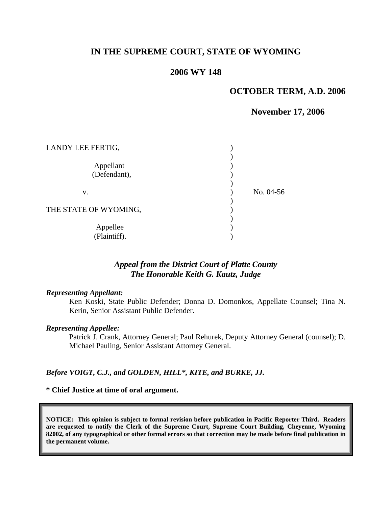## **IN THE SUPREME COURT, STATE OF WYOMING**

## **2006 WY 148**

### **OCTOBER TERM, A.D. 2006**

### **November 17, 2006**

| LANDY LEE FERTIG,         |           |
|---------------------------|-----------|
| Appellant<br>(Defendant), |           |
| v.                        | No. 04-56 |
| THE STATE OF WYOMING,     |           |
| Appellee<br>(Plaintiff).  |           |

# *Appeal from the District Court of Platte County The Honorable Keith G. Kautz, Judge*

#### *Representing Appellant:*

Ken Koski, State Public Defender; Donna D. Domonkos, Appellate Counsel; Tina N. Kerin, Senior Assistant Public Defender.

#### *Representing Appellee:*

Patrick J. Crank, Attorney General; Paul Rehurek, Deputy Attorney General (counsel); D. Michael Pauling, Senior Assistant Attorney General.

### *Before VOIGT, C.J., and GOLDEN, HILL\*, KITE, and BURKE, JJ.*

#### **\* Chief Justice at time of oral argument.**

**NOTICE: This opinion is subject to formal revision before publication in Pacific Reporter Third. Readers are requested to notify the Clerk of the Supreme Court, Supreme Court Building, Cheyenne, Wyoming 82002, of any typographical or other formal errors so that correction may be made before final publication in the permanent volume.**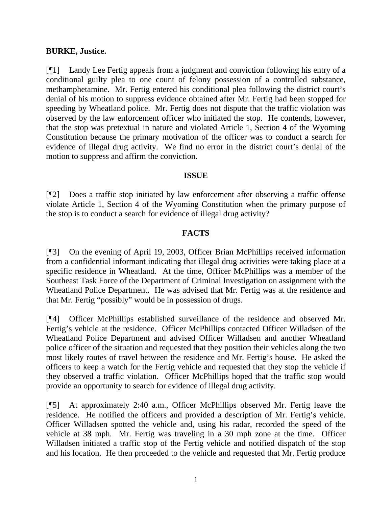### **BURKE, Justice.**

[¶1] Landy Lee Fertig appeals from a judgment and conviction following his entry of a conditional guilty plea to one count of felony possession of a controlled substance, methamphetamine. Mr. Fertig entered his conditional plea following the district court's denial of his motion to suppress evidence obtained after Mr. Fertig had been stopped for speeding by Wheatland police. Mr. Fertig does not dispute that the traffic violation was observed by the law enforcement officer who initiated the stop. He contends, however, that the stop was pretextual in nature and violated Article 1, Section 4 of the Wyoming Constitution because the primary motivation of the officer was to conduct a search for evidence of illegal drug activity. We find no error in the district court's denial of the motion to suppress and affirm the conviction.

## **ISSUE**

[¶2] Does a traffic stop initiated by law enforcement after observing a traffic offense violate Article 1, Section 4 of the Wyoming Constitution when the primary purpose of the stop is to conduct a search for evidence of illegal drug activity?

### **FACTS**

[¶3] On the evening of April 19, 2003, Officer Brian McPhillips received information from a confidential informant indicating that illegal drug activities were taking place at a specific residence in Wheatland. At the time, Officer McPhillips was a member of the Southeast Task Force of the Department of Criminal Investigation on assignment with the Wheatland Police Department. He was advised that Mr. Fertig was at the residence and that Mr. Fertig "possibly" would be in possession of drugs.

[¶4] Officer McPhillips established surveillance of the residence and observed Mr. Fertig's vehicle at the residence. Officer McPhillips contacted Officer Willadsen of the Wheatland Police Department and advised Officer Willadsen and another Wheatland police officer of the situation and requested that they position their vehicles along the two most likely routes of travel between the residence and Mr. Fertig's house. He asked the officers to keep a watch for the Fertig vehicle and requested that they stop the vehicle if they observed a traffic violation. Officer McPhillips hoped that the traffic stop would provide an opportunity to search for evidence of illegal drug activity.

[¶5] At approximately 2:40 a.m., Officer McPhillips observed Mr. Fertig leave the residence. He notified the officers and provided a description of Mr. Fertig's vehicle. Officer Willadsen spotted the vehicle and, using his radar, recorded the speed of the vehicle at 38 mph. Mr. Fertig was traveling in a 30 mph zone at the time. Officer Willadsen initiated a traffic stop of the Fertig vehicle and notified dispatch of the stop and his location. He then proceeded to the vehicle and requested that Mr. Fertig produce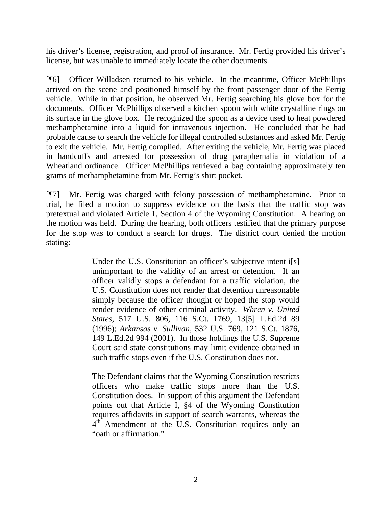his driver's license, registration, and proof of insurance. Mr. Fertig provided his driver's license, but was unable to immediately locate the other documents.

[¶6] Officer Willadsen returned to his vehicle. In the meantime, Officer McPhillips arrived on the scene and positioned himself by the front passenger door of the Fertig vehicle. While in that position, he observed Mr. Fertig searching his glove box for the documents. Officer McPhillips observed a kitchen spoon with white crystalline rings on its surface in the glove box. He recognized the spoon as a device used to heat powdered methamphetamine into a liquid for intravenous injection. He concluded that he had probable cause to search the vehicle for illegal controlled substances and asked Mr. Fertig to exit the vehicle. Mr. Fertig complied. After exiting the vehicle, Mr. Fertig was placed in handcuffs and arrested for possession of drug paraphernalia in violation of a Wheatland ordinance. Officer McPhillips retrieved a bag containing approximately ten grams of methamphetamine from Mr. Fertig's shirt pocket.

[¶7] Mr. Fertig was charged with felony possession of methamphetamine. Prior to trial, he filed a motion to suppress evidence on the basis that the traffic stop was pretextual and violated Article 1, Section 4 of the Wyoming Constitution. A hearing on the motion was held. During the hearing, both officers testified that the primary purpose for the stop was to conduct a search for drugs. The district court denied the motion stating:

> Under the U.S. Constitution an officer's subjective intent i<sup>[s]</sup> unimportant to the validity of an arrest or detention. If an officer validly stops a defendant for a traffic violation, the U.S. Constitution does not render that detention unreasonable simply because the officer thought or hoped the stop would render evidence of other criminal activity. *Whren v. United States,* 517 U.S. 806, 116 S.Ct. 1769, 13[5] L.Ed.2d 89 (1996); *Arkansas v. Sullivan,* 532 U.S. 769, 121 S.Ct. 1876, 149 L.Ed.2d 994 (2001). In those holdings the U.S. Supreme Court said state constitutions may limit evidence obtained in such traffic stops even if the U.S. Constitution does not.

> The Defendant claims that the Wyoming Constitution restricts officers who make traffic stops more than the U.S. Constitution does. In support of this argument the Defendant points out that Article I, §4 of the Wyoming Constitution requires affidavits in support of search warrants, whereas the  $4<sup>th</sup>$  Amendment of the U.S. Constitution requires only an "oath or affirmation."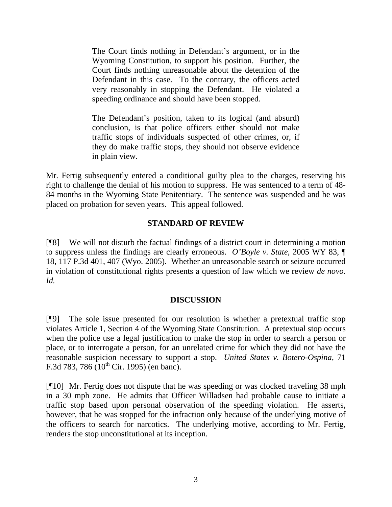The Court finds nothing in Defendant's argument, or in the Wyoming Constitution, to support his position. Further, the Court finds nothing unreasonable about the detention of the Defendant in this case. To the contrary, the officers acted very reasonably in stopping the Defendant. He violated a speeding ordinance and should have been stopped.

The Defendant's position, taken to its logical (and absurd) conclusion, is that police officers either should not make traffic stops of individuals suspected of other crimes, or, if they do make traffic stops, they should not observe evidence in plain view.

Mr. Fertig subsequently entered a conditional guilty plea to the charges, reserving his right to challenge the denial of his motion to suppress. He was sentenced to a term of 48- 84 months in the Wyoming State Penitentiary. The sentence was suspended and he was placed on probation for seven years. This appeal followed.

## **STANDARD OF REVIEW**

[¶8] We will not disturb the factual findings of a district court in determining a motion to suppress unless the findings are clearly erroneous. *O'Boyle v. State*, 2005 WY 83, ¶ 18, 117 P.3d 401, 407 (Wyo. 2005). Whether an unreasonable search or seizure occurred in violation of constitutional rights presents a question of law which we review *de novo. Id.*

### **DISCUSSION**

[¶9] The sole issue presented for our resolution is whether a pretextual traffic stop violates Article 1, Section 4 of the Wyoming State Constitution. A pretextual stop occurs when the police use a legal justification to make the stop in order to search a person or place, or to interrogate a person, for an unrelated crime for which they did not have the reasonable suspicion necessary to support a stop. *United States v. Botero-Ospina,* 71 F.3d 783, 786  $(10^{th}$  Cir. 1995) (en banc).

[¶10] Mr. Fertig does not dispute that he was speeding or was clocked traveling 38 mph in a 30 mph zone. He admits that Officer Willadsen had probable cause to initiate a traffic stop based upon personal observation of the speeding violation. He asserts, however, that he was stopped for the infraction only because of the underlying motive of the officers to search for narcotics. The underlying motive, according to Mr. Fertig, renders the stop unconstitutional at its inception.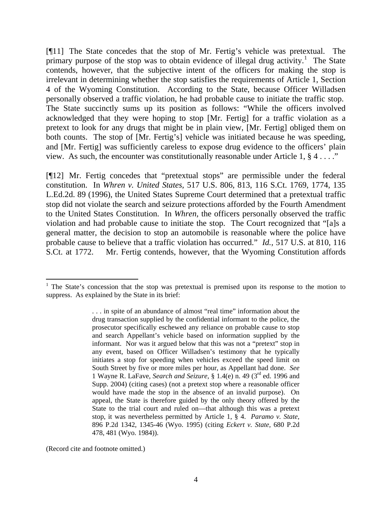[¶11] The State concedes that the stop of Mr. Fertig's vehicle was pretextual. The primary purpose of the stop was to obtain evidence of illegal drug activity.<sup>[1](#page-4-0)</sup> The State contends, however, that the subjective intent of the officers for making the stop is irrelevant in determining whether the stop satisfies the requirements of Article 1, Section 4 of the Wyoming Constitution. According to the State, because Officer Willadsen personally observed a traffic violation, he had probable cause to initiate the traffic stop. The State succinctly sums up its position as follows: "While the officers involved acknowledged that they were hoping to stop [Mr. Fertig] for a traffic violation as a pretext to look for any drugs that might be in plain view, [Mr. Fertig] obliged them on both counts. The stop of [Mr. Fertig's] vehicle was initiated because he was speeding, and [Mr. Fertig] was sufficiently careless to expose drug evidence to the officers' plain view. As such, the encounter was constitutionally reasonable under Article 1, § 4 . . . ."

[¶12] Mr. Fertig concedes that "pretextual stops" are permissible under the federal constitution. In *Whren v. United States,* 517 U.S. 806, 813, 116 S.Ct. 1769, 1774, 135 L.Ed.2d. 89 (1996), the United States Supreme Court determined that a pretextual traffic stop did not violate the search and seizure protections afforded by the Fourth Amendment to the United States Constitution. In *Whren,* the officers personally observed the traffic violation and had probable cause to initiate the stop. The Court recognized that "[a]s a general matter, the decision to stop an automobile is reasonable where the police have probable cause to believe that a traffic violation has occurred." *Id.,* 517 U.S. at 810, 116 S.Ct. at 1772. Mr. Fertig contends, however, that the Wyoming Constitution affords

(Record cite and footnote omitted.)

 $\overline{a}$ 

<span id="page-4-0"></span><sup>&</sup>lt;sup>1</sup> The State's concession that the stop was pretextual is premised upon its response to the motion to suppress. As explained by the State in its brief:

<sup>. . .</sup> in spite of an abundance of almost "real time" information about the drug transaction supplied by the confidential informant to the police, the prosecutor specifically eschewed any reliance on probable cause to stop and search Appellant's vehicle based on information supplied by the informant. Nor was it argued below that this was not a "pretext" stop in any event, based on Officer Willadsen's testimony that he typically initiates a stop for speeding when vehicles exceed the speed limit on South Street by five or more miles per hour, as Appellant had done. *See* 1 Wayne R. LaFave, *Search and Seizure,* § 1.4(e) n. 49 (3rd ed. 1996 and Supp. 2004) (citing cases) (not a pretext stop where a reasonable officer would have made the stop in the absence of an invalid purpose). On appeal, the State is therefore guided by the only theory offered by the State to the trial court and ruled on—that although this was a pretext stop, it was nevertheless permitted by Article 1, § 4. *Paramo v. State,* 896 P.2d 1342, 1345-46 (Wyo. 1995) (citing *Eckert v. State,* 680 P.2d 478, 481 (Wyo. 1984)).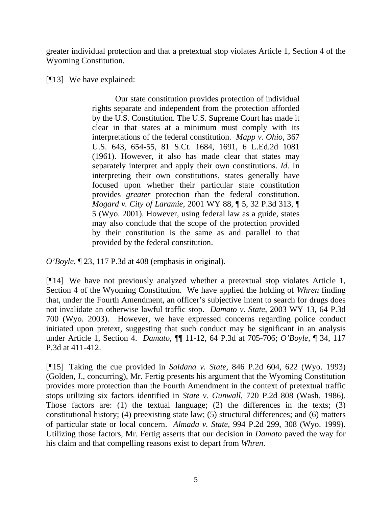greater individual protection and that a pretextual stop violates Article 1, Section 4 of the Wyoming Constitution.

# [¶13] We have explained:

Our state constitution provides protection of individual rights separate and independent from the protection afforded by the U.S. Constitution. The U.S. Supreme Court has made it clear in that states at a minimum must comply with its interpretations of the federal constitution. *Mapp v. Ohio*, 367 U.S. 643, 654-55, 81 S.Ct. 1684, 1691, 6 L.Ed.2d 1081 (1961). However, it also has made clear that states may separately interpret and apply their own constitutions. *Id.* In interpreting their own constitutions, states generally have focused upon whether their particular state constitution provides *greater* protection than the federal constitution. *Mogard v. City of Laramie*, 2001 WY 88, ¶ 5, 32 P.3d 313, ¶ 5 (Wyo. 2001). However, using federal law as a guide, states may also conclude that the scope of the protection provided by their constitution is the same as and parallel to that provided by the federal constitution.

*O'Boyle*[, ¶ 23, 117 P.3d at 408](http://www.lexis.com/research/xlink?app=00075&view=full&searchtype=get&search=2005+WY+83%2C+P23) (emphasis in original).

[¶14] We have not previously analyzed whether a pretextual stop violates Article 1, Section 4 of the Wyoming Constitution. We have applied the holding of *Whren* finding that, under the Fourth Amendment, an officer's subjective intent to search for drugs does not invalidate an otherwise lawful traffic stop. *Damato v. State*, 2003 WY 13, 64 P.3d 700 (Wyo. 2003). However, we have expressed concerns regarding police conduct initiated upon pretext, suggesting that such conduct may be significant in an analysis under Article 1, Section 4. *Damato*, ¶¶ 11-12, 64 P.3d at 705-706; *O'Boyle*, ¶ 34, 117 P.3d at 411-412.

[¶15] Taking the cue provided in *Saldana v. State,* 846 P.2d 604, 622 (Wyo. 1993) (Golden, J., concurring), Mr. Fertig presents his argument that the Wyoming Constitution provides more protection than the Fourth Amendment in the context of pretextual traffic stops utilizing six factors identified in *State v. Gunwall*, 720 P.2d 808 (Wash. 1986). Those factors are: (1) the textual language; (2) the differences in the texts; (3) constitutional history; (4) preexisting state law; (5) structural differences; and (6) matters of particular state or local concern. *Almada v. State,* 994 P.2d 299, 308 (Wyo. 1999). Utilizing those factors, Mr. Fertig asserts that our decision in *Damato* paved the way for his claim and that compelling reasons exist to depart from *Whren*.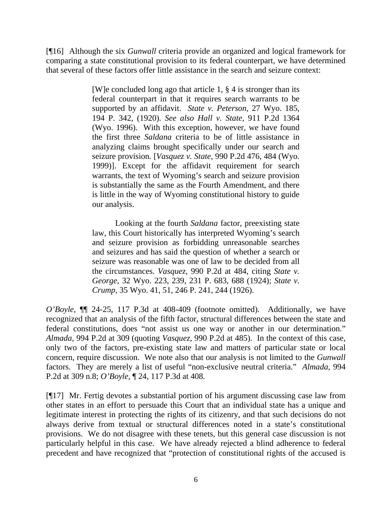[¶16] Although the six *Gunwall* criteria provide an organized and logical framework for comparing a state constitutional provision to its federal counterpart, we have determined that several of these factors offer little assistance in the search and seizure context:

> [W]e concluded long ago that [article 1, § 4](http://www.lexis.com/research/buttonTFLink?_m=3ba0a1eb459747199f1f1c74cd9393f2&_xfercite=%3ccite%20cc%3d%22USA%22%3e%3c%21%5bCDATA%5b2005%20WY%2083%5d%5d%3e%3c%2fcite%3e&_butType=4&_butStat=0&_butNum=27&_butInline=1&_butinfo=WYO.%20CONST.%201%204&_fmtstr=FULL&docnum=1&_startdoc=1&wchp=dGLzVzz-zSkAz&_md5=6965177a5e8b2695947ed1b30ffc9941) is stronger than its federal counterpart in that it requires search warrants to be supported by an affidavit. *[State v. Peterson](http://www.lexis.com/research/buttonTFLink?_m=3ba0a1eb459747199f1f1c74cd9393f2&_xfercite=%3ccite%20cc%3d%22USA%22%3e%3c%21%5bCDATA%5b2005%20WY%2083%5d%5d%3e%3c%2fcite%3e&_butType=3&_butStat=2&_butNum=28&_butInline=1&_butinfo=%3ccite%20cc%3d%22USA%22%3e%3c%21%5bCDATA%5b27%20Wyo.%20185%5d%5d%3e%3c%2fcite%3e&_fmtstr=FULL&docnum=1&_startdoc=1&wchp=dGLzVzz-zSkAz&_md5=c43e6de901b53a488090f41a1575f2b7)*, 27 Wyo. 185, [194 P. 342, \(1920\).](http://www.lexis.com/research/buttonTFLink?_m=3ba0a1eb459747199f1f1c74cd9393f2&_xfercite=%3ccite%20cc%3d%22USA%22%3e%3c%21%5bCDATA%5b2005%20WY%2083%5d%5d%3e%3c%2fcite%3e&_butType=3&_butStat=2&_butNum=28&_butInline=1&_butinfo=%3ccite%20cc%3d%22USA%22%3e%3c%21%5bCDATA%5b27%20Wyo.%20185%5d%5d%3e%3c%2fcite%3e&_fmtstr=FULL&docnum=1&_startdoc=1&wchp=dGLzVzz-zSkAz&_md5=c43e6de901b53a488090f41a1575f2b7) *See also Hall v. State*[, 911 P.2d 1364](http://www.lexis.com/research/buttonTFLink?_m=3ba0a1eb459747199f1f1c74cd9393f2&_xfercite=%3ccite%20cc%3d%22USA%22%3e%3c%21%5bCDATA%5b2005%20WY%2083%5d%5d%3e%3c%2fcite%3e&_butType=3&_butStat=2&_butNum=29&_butInline=1&_butinfo=%3ccite%20cc%3d%22USA%22%3e%3c%21%5bCDATA%5b911%20P.2d%201364%5d%5d%3e%3c%2fcite%3e&_fmtstr=FULL&docnum=1&_startdoc=1&wchp=dGLzVzz-zSkAz&_md5=19a166a5f6748c38d852462c8129a09d)  [\(Wyo. 1996\).](http://www.lexis.com/research/buttonTFLink?_m=3ba0a1eb459747199f1f1c74cd9393f2&_xfercite=%3ccite%20cc%3d%22USA%22%3e%3c%21%5bCDATA%5b2005%20WY%2083%5d%5d%3e%3c%2fcite%3e&_butType=3&_butStat=2&_butNum=29&_butInline=1&_butinfo=%3ccite%20cc%3d%22USA%22%3e%3c%21%5bCDATA%5b911%20P.2d%201364%5d%5d%3e%3c%2fcite%3e&_fmtstr=FULL&docnum=1&_startdoc=1&wchp=dGLzVzz-zSkAz&_md5=19a166a5f6748c38d852462c8129a09d) With this exception, however, we have found the first three *Saldana* criteria to be of little assistance in analyzing claims brought specifically under our search and seizure provision. [*Vasquez v. State*[, 990 P.2d 476, 484](http://www.lexis.com/research/buttonTFLink?_m=3ba0a1eb459747199f1f1c74cd9393f2&_xfercite=%3ccite%20cc%3d%22USA%22%3e%3c%21%5bCDATA%5b2005%20WY%2083%5d%5d%3e%3c%2fcite%3e&_butType=3&_butStat=2&_butNum=30&_butInline=1&_butinfo=%3ccite%20cc%3d%22USA%22%3e%3c%21%5bCDATA%5b990%20P.2d%20476%2cat%20484%5d%5d%3e%3c%2fcite%3e&_fmtstr=FULL&docnum=1&_startdoc=1&wchp=dGLzVzz-zSkAz&_md5=dabf8bf56c78533f24687e22cd33790e) (Wyo. 1999)]. Except for the affidavit requirement for search warrants, the text of Wyoming's search and seizure provision is substantially the same as the [Fourth Amendment,](http://www.lexis.com/research/buttonTFLink?_m=3ba0a1eb459747199f1f1c74cd9393f2&_xfercite=%3ccite%20cc%3d%22USA%22%3e%3c%21%5bCDATA%5b2005%20WY%2083%5d%5d%3e%3c%2fcite%3e&_butType=4&_butStat=0&_butNum=31&_butInline=1&_butinfo=U.S.%20CONST.%20AMEND.%204&_fmtstr=FULL&docnum=1&_startdoc=1&wchp=dGLzVzz-zSkAz&_md5=9ea8816d90b99456a12b9a9cbe8fb122) and there is little in the way of Wyoming constitutional history to guide our analysis.

> Looking at the fourth *Saldana* factor, preexisting state law, this Court historically has interpreted Wyoming's search and seizure provision as forbidding unreasonable searches and seizures and has said the question of whether a search or seizure was reasonable was one of law to be decided from all the circumstances. *Vasquez*[, 990 P.2d at 484](http://www.lexis.com/research/buttonTFLink?_m=3ba0a1eb459747199f1f1c74cd9393f2&_xfercite=%3ccite%20cc%3d%22USA%22%3e%3c%21%5bCDATA%5b2005%20WY%2083%5d%5d%3e%3c%2fcite%3e&_butType=3&_butStat=2&_butNum=35&_butInline=1&_butinfo=%3ccite%20cc%3d%22USA%22%3e%3c%21%5bCDATA%5b990%20P.2d%20476%2cat%20484%5d%5d%3e%3c%2fcite%3e&_fmtstr=FULL&docnum=1&_startdoc=1&wchp=dGLzVzz-zSkAz&_md5=82e742e60304ad678cb319a8e7f4c125), citing *[State v.](http://www.lexis.com/research/buttonTFLink?_m=3ba0a1eb459747199f1f1c74cd9393f2&_xfercite=%3ccite%20cc%3d%22USA%22%3e%3c%21%5bCDATA%5b2005%20WY%2083%5d%5d%3e%3c%2fcite%3e&_butType=3&_butStat=2&_butNum=36&_butInline=1&_butinfo=%3ccite%20cc%3d%22USA%22%3e%3c%21%5bCDATA%5b32%20Wyo.%20223%2cat%20239%5d%5d%3e%3c%2fcite%3e&_fmtstr=FULL&docnum=1&_startdoc=1&wchp=dGLzVzz-zSkAz&_md5=3a669d7278899753b93368ecbbeb7a31)  George*[, 32 Wyo. 223, 239, 231 P. 683, 688 \(1924\);](http://www.lexis.com/research/buttonTFLink?_m=3ba0a1eb459747199f1f1c74cd9393f2&_xfercite=%3ccite%20cc%3d%22USA%22%3e%3c%21%5bCDATA%5b2005%20WY%2083%5d%5d%3e%3c%2fcite%3e&_butType=3&_butStat=2&_butNum=36&_butInline=1&_butinfo=%3ccite%20cc%3d%22USA%22%3e%3c%21%5bCDATA%5b32%20Wyo.%20223%2cat%20239%5d%5d%3e%3c%2fcite%3e&_fmtstr=FULL&docnum=1&_startdoc=1&wchp=dGLzVzz-zSkAz&_md5=3a669d7278899753b93368ecbbeb7a31) *[State v.](http://www.lexis.com/research/buttonTFLink?_m=3ba0a1eb459747199f1f1c74cd9393f2&_xfercite=%3ccite%20cc%3d%22USA%22%3e%3c%21%5bCDATA%5b2005%20WY%2083%5d%5d%3e%3c%2fcite%3e&_butType=3&_butStat=2&_butNum=37&_butInline=1&_butinfo=%3ccite%20cc%3d%22USA%22%3e%3c%21%5bCDATA%5b35%20Wyo.%2041%2cat%2051%5d%5d%3e%3c%2fcite%3e&_fmtstr=FULL&docnum=1&_startdoc=1&wchp=dGLzVzz-zSkAz&_md5=bccada8bedeb7c04ea455a2011fd4825)  Crump*[, 35 Wyo. 41, 51, 246 P. 241, 244 \(1926\).](http://www.lexis.com/research/buttonTFLink?_m=3ba0a1eb459747199f1f1c74cd9393f2&_xfercite=%3ccite%20cc%3d%22USA%22%3e%3c%21%5bCDATA%5b2005%20WY%2083%5d%5d%3e%3c%2fcite%3e&_butType=3&_butStat=2&_butNum=37&_butInline=1&_butinfo=%3ccite%20cc%3d%22USA%22%3e%3c%21%5bCDATA%5b35%20Wyo.%2041%2cat%2051%5d%5d%3e%3c%2fcite%3e&_fmtstr=FULL&docnum=1&_startdoc=1&wchp=dGLzVzz-zSkAz&_md5=bccada8bedeb7c04ea455a2011fd4825)

*O'Boyle,* ¶¶ 24-25, 117 P.3d at 408-409 (footnote omitted). Additionally, we have recognized that an analysis of the fifth factor, structural differences between the state and federal constitutions, does "not assist us one way or another in our determination." *Almada,* 994 P.2d at 309 (quoting *Vasquez*, 990 P.2d at 485). In the context of this case, only two of the factors, pre-existing state law and matters of particular state or local concern, require discussion. We note also that our analysis is not limited to the *Gunwall*  factors. They are merely a list of useful "non-exclusive neutral criteria." *Almada,* 994 P.2d at 309 n.8; *O'Boyle*, ¶ 24, 117 P.3d at 408*.*

[¶17] Mr. Fertig devotes a substantial portion of his argument discussing case law from other states in an effort to persuade this Court that an individual state has a unique and legitimate interest in protecting the rights of its citizenry, and that such decisions do not always derive from textual or structural differences noted in a state's constitutional provisions. We do not disagree with these tenets, but this general case discussion is not particularly helpful in this case. We have already rejected a blind adherence to federal precedent and have recognized that "protection of constitutional rights of the accused is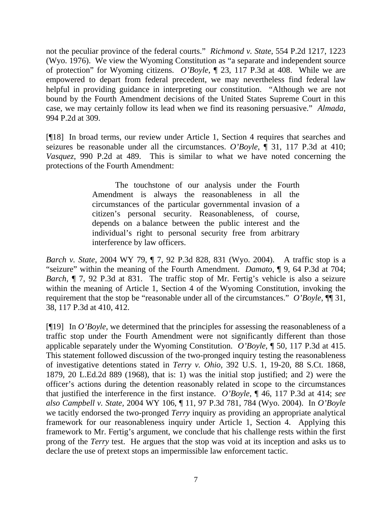not the peculiar province of the federal courts." *Richmond v. State*, 554 P.2d 1217, 1223 (Wyo. 1976). We view the Wyoming Constitution as "a separate and independent source of protection" for Wyoming citizens. *O'Boyle*, ¶ 23, 117 P.3d at 408. While we are empowered to depart from federal precedent, we may nevertheless find federal law helpful in providing guidance in interpreting our constitution. "Although we are not bound by the Fourth Amendment decisions of the United States Supreme Court in this case, we may certainly follow its lead when we find its reasoning persuasive." *Almada,*  994 P.2d at 309.

[¶18] In broad terms, our review under Article 1, Section 4 requires that searches and seizures be reasonable under all the circumstances. *O'Boyle*, ¶ 31, 117 P.3d at 410; *Vasquez*, 990 P.2d at 489. This is similar to what we have noted concerning the protections of the Fourth Amendment:

> The touchstone of our analysis under the Fourth Amendment is always the reasonableness in all the circumstances of the particular governmental invasion of a citizen's personal security. Reasonableness, of course, depends on a balance between the public interest and the individual's right to personal security free from arbitrary interference by law officers.

*Barch v. State,* 2004 WY 79, ¶ 7, 92 P.3d 828, 831 (Wyo. 2004). A traffic stop is a "seizure" within the meaning of the Fourth Amendment. *Damato*, ¶ 9, 64 P.3d at 704; *Barch,* ¶ 7, 92 P.3d at 831. The traffic stop of Mr. Fertig's vehicle is also a seizure within the meaning of Article 1, Section 4 of the Wyoming Constitution, invoking the requirement that the stop be "reasonable under all of the circumstances." *O'Boyle*, ¶¶ 31, 38, 117 P.3d at 410, 412.

[¶19] In *O'Boyle*, we determined that the principles for assessing the reasonableness of a traffic stop under the Fourth Amendment were not significantly different than those applicable separately under the Wyoming Constitution. *O'Boyle*, ¶ 50, 117 P.3d at 415. This statement followed discussion of the two-pronged inquiry testing the reasonableness of investigative detentions stated in *Terry v. Ohio,* 392 U.S. 1, 19-20, 88 S.Ct. 1868, 1879, 20 L.Ed.2d 889 (1968), that is: 1) was the initial stop justified; and 2) were the officer's actions during the detention reasonably related in scope to the circumstances that justified the interference in the first instance. *O'Boyle,* ¶ 46, 117 P.3d at 414; *see also Campbell v. State,* 2004 WY 106, ¶ 11, 97 P.3d 781, 784 (Wyo. 2004). In *O'Boyle* we tacitly endorsed the two-pronged *Terry* inquiry as providing an appropriate analytical framework for our reasonableness inquiry under Article 1, Section 4. Applying this framework to Mr. Fertig's argument, we conclude that his challenge rests within the first prong of the *Terry* test. He argues that the stop was void at its inception and asks us to declare the use of pretext stops an impermissible law enforcement tactic.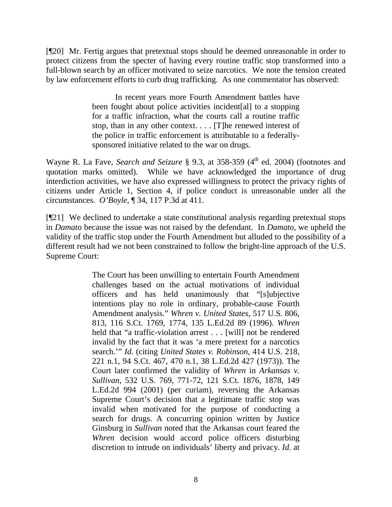[¶20] Mr. Fertig argues that pretextual stops should be deemed unreasonable in order to protect citizens from the specter of having every routine traffic stop transformed into a full-blown search by an officer motivated to seize narcotics. We note the tension created by law enforcement efforts to curb drug trafficking. As one commentator has observed:

> In recent years more Fourth Amendment battles have been fought about police activities incident[al] to a stopping for a traffic infraction, what the courts call a routine traffic stop, than in any other context. . . . [T]he renewed interest of the police in traffic enforcement is attributable to a federallysponsored initiative related to the war on drugs.

Wayne R. La Fave, *Search and Seizure* § 9.3, at 358-359 (4<sup>th</sup> ed. 2004) (footnotes and quotation marks omitted). While we have acknowledged the importance of drug interdiction activities, we have also expressed willingness to protect the privacy rights of citizens under Article 1, Section 4, if police conduct is unreasonable under all the circumstances. *O'Boyle*, ¶ 34, 117 P.3d at 411.

[¶21] We declined to undertake a state constitutional analysis regarding pretextual stops in *Damato* because the issue was not raised by the defendant. In *Damato,* we upheld the validity of the traffic stop under the Fourth Amendment but alluded to the possibility of a different result had we not been constrained to follow the bright-line approach of the U.S. Supreme Court:

> The Court has been unwilling to entertain Fourth Amendment challenges based on the actual motivations of individual officers and has held unanimously that "[s]ubjective intentions play no role in ordinary, probable-cause Fourth Amendment analysis." *Whren v. United States*, 517 U.S. 806, 813, 116 S.Ct. 1769, 1774, 135 L.Ed.2d 89 (1996). *Whren* held that "a traffic-violation arrest . . . [will] not be rendered invalid by the fact that it was 'a mere pretext for a narcotics search.'" *Id.* (citing *United States v. Robinson*, 414 U.S. 218, 221 n.1, 94 S.Ct. 467, 470 n.1, 38 L.Ed.2d 427 (1973)). The Court later confirmed the validity of *Whren* in *Arkansas v. Sullivan*, 532 U.S. 769, 771-72, 121 S.Ct. 1876, 1878, 149 L.Ed.2d 994 (2001) (per curiam), reversing the Arkansas Supreme Court's decision that a legitimate traffic stop was invalid when motivated for the purpose of conducting a search for drugs. A concurring opinion written by Justice Ginsburg in *Sullivan* noted that the Arkansas court feared the *Whren* decision would accord police officers disturbing discretion to intrude on individuals' liberty and privacy. *Id.* at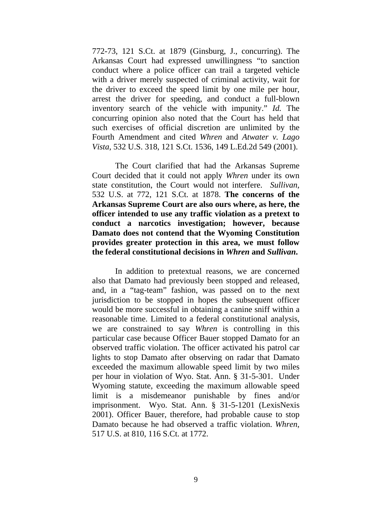772-73, 121 S.Ct. at 1879 (Ginsburg, J., concurring). The Arkansas Court had expressed unwillingness "to sanction conduct where a police officer can trail a targeted vehicle with a driver merely suspected of criminal activity, wait for the driver to exceed the speed limit by one mile per hour, arrest the driver for speeding, and conduct a full-blown inventory search of the vehicle with impunity." *Id.* The concurring opinion also noted that the Court has held that such exercises of official discretion are unlimited by the Fourth Amendment and cited *Whren* and *Atwater v. Lago Vista*, 532 U.S. 318, 121 S.Ct. 1536, 149 L.Ed.2d 549 (2001).

The Court clarified that had the Arkansas Supreme Court decided that it could not apply *Whren* under its own state constitution, the Court would not interfere. *Sullivan*, 532 U.S. at 772, 121 S.Ct. at 1878. **The concerns of the Arkansas Supreme Court are also ours where, as here, the officer intended to use any traffic violation as a pretext to conduct a narcotics investigation; however, because Damato does not contend that the Wyoming Constitution provides greater protection in this area, we must follow the federal constitutional decisions in** *Whren* **and** *Sullivan***.**

 In addition to pretextual reasons, we are concerned also that Damato had previously been stopped and released, and, in a "tag-team" fashion, was passed on to the next jurisdiction to be stopped in hopes the subsequent officer would be more successful in obtaining a canine sniff within a reasonable time. Limited to a federal constitutional analysis, we are constrained to say *Whren* is controlling in this particular case because Officer Bauer stopped Damato for an observed traffic violation. The officer activated his patrol car lights to stop Damato after observing on radar that Damato exceeded the maximum allowable speed limit by two miles per hour in violation of Wyo. Stat. Ann. § 31-5-301. Under Wyoming statute, exceeding the maximum allowable speed limit is a misdemeanor punishable by fines and/or imprisonment. Wyo. Stat. Ann. § 31-5-1201 (LexisNexis 2001). Officer Bauer, therefore, had probable cause to stop Damato because he had observed a traffic violation. *Whren*, 517 U.S. at 810, 116 S.Ct. at 1772.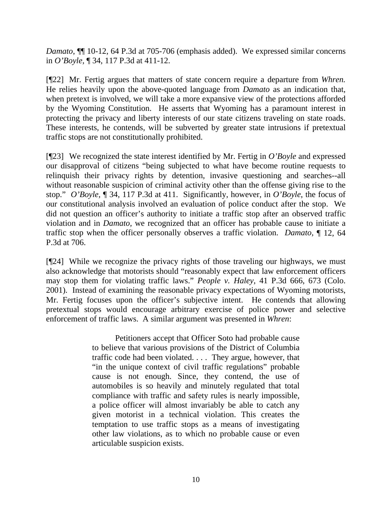*Damato*[, ¶¶ 10-12, 64 P.3d at 705-706](http://www.lexis.com/research/xlink?app=00075&view=full&searchtype=get&search=2003+WY+13%2C+P10) (emphasis added). We expressed similar concerns in *O'Boyle,* ¶ 34, 117 P.3d at 411-12.

[¶22] Mr. Fertig argues that matters of state concern require a departure from *Whren.*  He relies heavily upon the above-quoted language from *Damato* as an indication that, when pretext is involved, we will take a more expansive view of the protections afforded by the Wyoming Constitution. He asserts that Wyoming has a paramount interest in protecting the privacy and liberty interests of our state citizens traveling on state roads. These interests, he contends, will be subverted by greater state intrusions if pretextual traffic stops are not constitutionally prohibited.

[¶23] We recognized the state interest identified by Mr. Fertig in *O'Boyle* and expressed our disapproval of citizens "being subjected to what have become routine requests to relinquish their privacy rights by detention, invasive questioning and searches--all without reasonable suspicion of criminal activity other than the offense giving rise to the stop." *O'Boyle,* ¶ 34, 117 P.3d at 411. Significantly, however, in *O'Boyle*, the focus of our constitutional analysis involved an evaluation of police conduct after the stop. We did not question an officer's authority to initiate a traffic stop after an observed traffic violation and in *Damato,* we recognized that an officer has probable cause to initiate a traffic stop when the officer personally observes a traffic violation. *Damato,* [¶ 12, 64](http://www.lexis.com/research/xlink?app=00075&view=full&searchtype=get&search=2003+WY+13%2C+P10)  [P.3d at 706.](http://www.lexis.com/research/xlink?app=00075&view=full&searchtype=get&search=2003+WY+13%2C+P10)

[¶24] While we recognize the privacy rights of those traveling our highways, we must also acknowledge that motorists should "reasonably expect that law enforcement officers may stop them for violating traffic laws." *People v. Haley*, 41 P.3d 666, 673 (Colo. 2001). Instead of examining the reasonable privacy expectations of Wyoming motorists, Mr. Fertig focuses upon the officer's subjective intent. He contends that allowing pretextual stops would encourage arbitrary exercise of police power and selective enforcement of traffic laws. A similar argument was presented in *Whren*:

> Petitioners accept that Officer Soto had probable cause to believe that various provisions of the District of Columbia traffic code had been violated. . . . They argue, however, that "in the unique context of civil traffic regulations" probable cause is not enough. Since, they contend, the use of automobiles is so heavily and minutely regulated that total compliance with traffic and safety rules is nearly impossible, a police officer will almost invariably be able to catch any given motorist in a technical violation. This creates the temptation to use traffic stops as a means of investigating other law violations, as to which no probable cause or even articulable suspicion exists.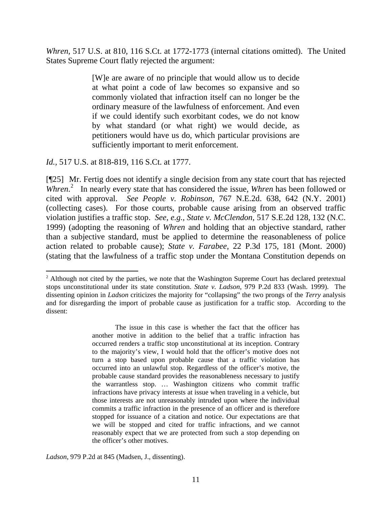*Whren*[, 517 U.S. at 810,](http://www.lexis.com/research/xlink?app=00075&view=full&searchtype=get&search=517+U.S.+810) 116 S.Ct. at 1772-1773 (internal citations omitted). The United States Supreme Court flatly rejected the argument:

> [W]e are aware of no principle that would allow us to decide at what point a code of law becomes so expansive and so commonly violated that infraction itself can no longer be the ordinary measure of the lawfulness of enforcement. And even if we could identify such exorbitant codes, we do not know by what standard (or what right) we would decide, as petitioners would have us do, which particular provisions are sufficiently important to merit enforcement.

*Id.,* 517 U.S. at 818-819, 116 S.Ct. at 1777.

 $\overline{a}$ 

[¶25] Mr. Fertig does not identify a single decision from any state court that has rejected *Whren*. [2](#page-11-0) In nearly every state that has considered the issue, *Whren* has been followed or cited with approval. *See People v. Robinson,* 767 N.E.2d. 638, 642 (N.Y. 2001) (collecting cases). For those courts, probable cause arising from an observed traffic violation justifies a traffic stop. *See, e.g., State v. McClendon*, 517 S.E.2d 128, 132 (N.C. 1999) (adopting the reasoning of *Whren* and holding that an objective standard, rather than a subjective standard, must be applied to determine the reasonableness of police action related to probable cause); *State v. Farabee,* 22 P.3d 175, 181 (Mont. 2000) (stating that the lawfulness of a traffic stop under the Montana Constitution depends on

*Ladson*, 979 P.2d at 845 (Madsen, J., dissenting).

<span id="page-11-0"></span><sup>&</sup>lt;sup>2</sup> Although not cited by the parties, we note that the Washington Supreme Court has declared pretextual stops unconstitutional under its state constitution. *State v. Ladson*, 979 P.2d 833 (Wash. 1999). The dissenting opinion in *Ladson* criticizes the majority for "collapsing" the two prongs of the *Terry* analysis and for disregarding the import of probable cause as justification for a traffic stop. According to the dissent:

The issue in this case is whether the fact that the officer has another motive in addition to the belief that a traffic infraction has occurred renders a traffic stop unconstitutional at its inception. Contrary to the majority's view, I would hold that the officer's motive does not turn a stop based upon probable cause that a traffic violation has occurred into an unlawful stop. Regardless of the officer's motive, the probable cause standard provides the reasonableness necessary to justify the warrantless stop. … Washington citizens who commit traffic infractions have privacy interests at issue when traveling in a vehicle, but those interests are not unreasonably intruded upon where the individual commits a traffic infraction in the presence of an officer and is therefore stopped for issuance of a citation and notice. Our expectations are that we will be stopped and cited for traffic infractions, and we cannot reasonably expect that we are protected from such a stop depending on the officer's other motives.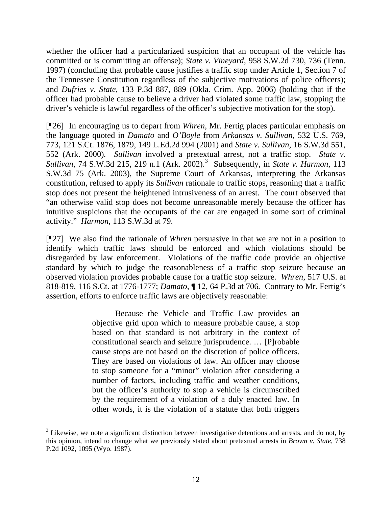whether the officer had a particularized suspicion that an occupant of the vehicle has committed or is committing an offense); *State v. Vineyard*, 958 S.W.2d 730, 736 (Tenn. 1997) (concluding that probable cause justifies a traffic stop under Article 1, Section 7 of the Tennessee Constitution regardless of the subjective motivations of police officers); and *Dufries v. State*, 133 P.3d 887, 889 (Okla. Crim. App. 2006) (holding that if the officer had probable cause to believe a driver had violated some traffic law, stopping the driver's vehicle is lawful regardless of the officer's subjective motivation for the stop).

[¶26] In encouraging us to depart from *Whren*, Mr. Fertig places particular emphasis on the language quoted in *Damato* and *O'Boyle* from *[Arkansas v. Sullivan](http://www.lexis.com/research/buttonTFLink?_m=90c4ad59a4e4c7d0044eb6b85c10a7bf&_xfercite=%3ccite%20cc%3d%22USA%22%3e%3c%21%5bCDATA%5b2005%20WY%2083%5d%5d%3e%3c%2fcite%3e&_butType=3&_butStat=2&_butNum=71&_butInline=1&_butinfo=%3ccite%20cc%3d%22USA%22%3e%3c%21%5bCDATA%5b532%20U.S.%20769%2cat%20771%5d%5d%3e%3c%2fcite%3e&_fmtstr=FULL&docnum=1&_startdoc=1&wchp=dGLzVzz-zSkAW&_md5=15ce16e0ab05743b0c717b1587997b72)*, 532 U.S. 769, [773, 121 S.Ct. 1876, 1879, 149 L.Ed.2d 994 \(2001\)](http://www.lexis.com/research/buttonTFLink?_m=90c4ad59a4e4c7d0044eb6b85c10a7bf&_xfercite=%3ccite%20cc%3d%22USA%22%3e%3c%21%5bCDATA%5b2005%20WY%2083%5d%5d%3e%3c%2fcite%3e&_butType=3&_butStat=2&_butNum=71&_butInline=1&_butinfo=%3ccite%20cc%3d%22USA%22%3e%3c%21%5bCDATA%5b532%20U.S.%20769%2cat%20771%5d%5d%3e%3c%2fcite%3e&_fmtstr=FULL&docnum=1&_startdoc=1&wchp=dGLzVzz-zSkAW&_md5=15ce16e0ab05743b0c717b1587997b72) and *State v. Sullivan*, 16 S.W.3d 551, 552 (Ark. 2000)*. Sullivan* involved a pretextual arrest, not a traffic stop. *State v.*  Sullivan, 74 S.W.[3](#page-12-0)d 215, 219 n.1 (Ark. 2002).<sup>3</sup> Subsequently, in *State v. Harmon*, 113 S.W.3d 75 (Ark. 2003), the Supreme Court of Arkansas, interpreting the Arkansas constitution, refused to apply its *Sullivan* rationale to traffic stops, reasoning that a traffic stop does not present the heightened intrusiveness of an arrest. The court observed that "an otherwise valid stop does not become unreasonable merely because the officer has intuitive suspicions that the occupants of the car are engaged in some sort of criminal activity." *Harmon*, 113 S.W.3d at 79.

[¶27] We also find the rationale of *Whren* persuasive in that we are not in a position to identify which traffic laws should be enforced and which violations should be disregarded by law enforcement. Violations of the traffic code provide an objective standard by which to judge the reasonableness of a traffic stop seizure because an observed violation provides probable cause for a traffic stop seizure. *Whren*, 517 U.S. at 818-819, 116 S.Ct. at 1776-1777; *Damato*[, ¶ 12, 64 P.3d at 706](http://www.lexis.com/research/xlink?app=00075&view=full&searchtype=get&search=2003+WY+13%2C+P10)*.* Contrary to Mr. Fertig's assertion, efforts to enforce traffic laws are objectively reasonable:

> Because the Vehicle and Traffic Law provides an objective grid upon which to measure probable cause, a stop based on that standard is not arbitrary in the context of constitutional search and seizure jurisprudence. … [P]robable cause stops are not based on the discretion of police officers. They are based on violations of law. An officer may choose to stop someone for a "minor" violation after considering a number of factors, including traffic and weather conditions, but the officer's authority to stop a vehicle is circumscribed by the requirement of a violation of a duly enacted law. In other words, it is the violation of a statute that both triggers

 $\overline{a}$ 

<span id="page-12-0"></span> $3$  Likewise, we note a significant distinction between investigative detentions and arrests, and do not, by this opinion, intend to change what we previously stated about pretextual arrests in *Brown v. State*, 738 P.2d 1092, 1095 (Wyo. 1987).